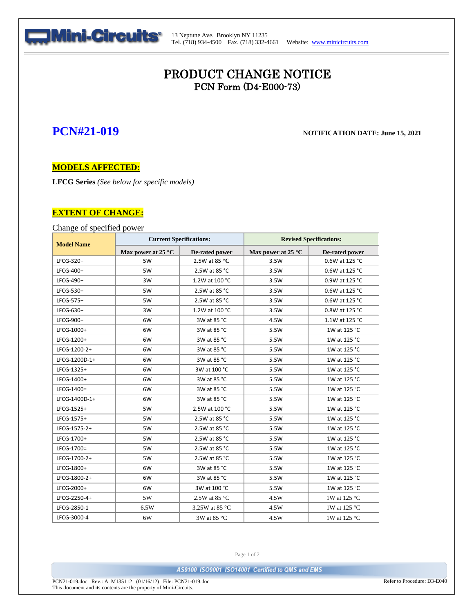

13 Neptune Ave. Brooklyn NY 11235 Tel. (718) 934-4500 Fax. (718) 332-4661 Website: [www.minicircuits.com](http://www.minicircuits.com/)

# PRODUCT CHANGE NOTICE PCN Form (D4-E000-73)

## **PCN#21-019 NOTIFICATION DATE: June 15, <sup>2021</sup>**

## **MODELS AFFECTED:**

**LFCG Series** *(See below for specific models)*

## **EXTENT OF CHANGE:**

Change of specified power

| <b>Model Name</b> | <b>Current Specifications:</b> |                                 | <b>Revised Specifications:</b> |                |
|-------------------|--------------------------------|---------------------------------|--------------------------------|----------------|
|                   | Max power at 25 °C             | De-rated power                  | Max power at 25 $^{\circ}$ C   | De-rated power |
| LFCG-320+         | 5W                             | 2.5W at 85 $\mathrm{^{\circ}C}$ | 3.5W                           | 0.6W at 125 °C |
| LFCG-400+         | 5W                             | 2.5W at 85 °C                   | 3.5W                           | 0.6W at 125 °C |
| LFCG-490+         | 3W                             | 1.2W at 100 °C                  | 3.5W                           | 0.9W at 125 °C |
| LFCG-530+         | 5W                             | 2.5W at 85 °C                   | 3.5W                           | 0.6W at 125 °C |
| LFCG-575+         | 5W                             | 2.5W at 85 °C                   | 3.5W                           | 0.6W at 125 °C |
| LFCG-630+         | 3W                             | 1.2W at 100 °C                  | 3.5W                           | 0.8W at 125 °C |
| LFCG-900+         | 6W                             | 3W at 85 °C                     | 4.5W                           | 1.1W at 125 °C |
| LFCG-1000+        | 6W                             | 3W at 85 °C                     | 5.5W                           | 1W at 125 °C   |
| LFCG-1200+        | 6W                             | 3W at 85 °C                     | 5.5W                           | 1W at 125 °C   |
| LFCG-1200-2+      | 6W                             | 3W at 85 °C                     | 5.5W                           | 1W at 125 °C   |
| LFCG-1200D-1+     | 6W                             | 3W at 85 °C                     | 5.5W                           | 1W at 125 °C   |
| LFCG-1325+        | 6W                             | 3W at 100 °C                    | 5.5W                           | 1W at 125 °C   |
| LFCG-1400+        | 6W                             | 3W at 85 °C                     | 5.5W                           | 1W at 125 °C   |
| LFCG-1400=        | 6W                             | 3W at 85 °C                     | 5.5W                           | 1W at 125 °C   |
| LFCG-1400D-1+     | 6W                             | 3W at 85 °C                     | 5.5W                           | 1W at 125 °C   |
| LFCG-1525+        | 5W                             | 2.5W at 100 °C                  | 5.5W                           | 1W at 125 °C   |
| LFCG-1575+        | 5W                             | 2.5W at 85 °C                   | 5.5W                           | 1W at 125 °C   |
| LFCG-1575-2+      | 5W                             | 2.5W at 85 °C                   | 5.5W                           | 1W at 125 °C   |
| LFCG-1700+        | 5W                             | 2.5W at 85 °C                   | 5.5W                           | 1W at 125 °C   |
| LFCG-1700=        | 5W                             | 2.5W at 85 °C                   | 5.5W                           | 1W at 125 °C   |
| LFCG-1700-2+      | 5W                             | 2.5W at 85 °C                   | 5.5W                           | 1W at 125 °C   |
| LFCG-1800+        | 6W                             | 3W at 85 °C                     | 5.5W                           | 1W at 125 °C   |
| LFCG-1800-2+      | 6W                             | 3W at 85 °C                     | 5.5W                           | 1W at 125 °C   |
| LFCG-2000+        | 6W                             | 3W at 100 °C                    | 5.5W                           | 1W at 125 °C   |
| LFCG-2250-4+      | 5W                             | 2.5W at 85 $\degree$ C          | 4.5W                           | 1W at 125 °C   |
| LFCG-2850-1       | 6.5W                           | 3.25W at 85 °C                  | 4.5W                           | 1W at 125 °C   |
| LFCG-3000-4       | 6W                             | 3W at 85 °C                     | 4.5W                           | 1W at 125 °C   |

Page 1 of 2

AS9100 ISO9001 ISO14001 Certified to QMS and EMS

PCN21-019.doc Rev.: A M135112 (01/16/12) File: PCN21-019.doc This document and its contents are the property of Mini-Circuits.

Refer to Procedure: D3-E040